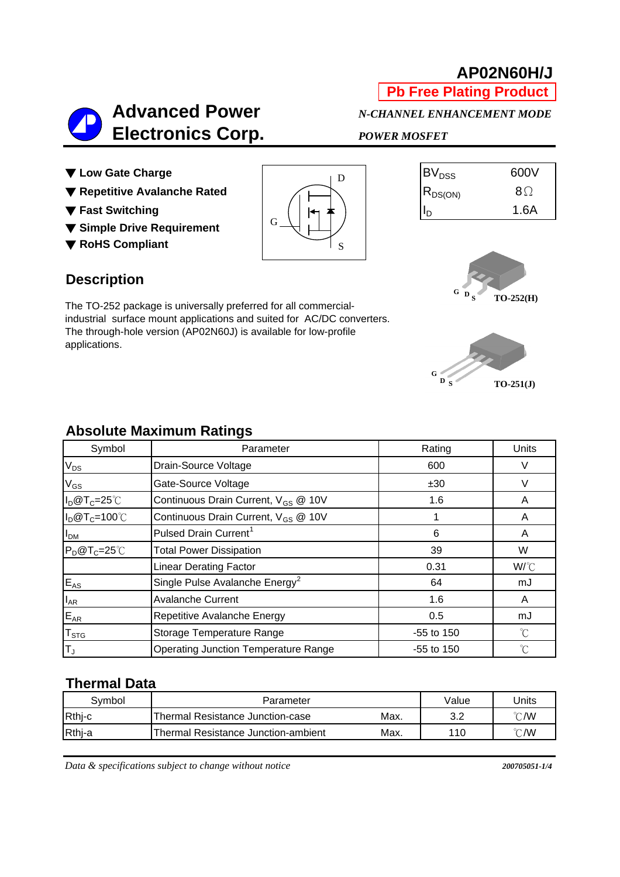# **AP02N60H/J**

**Pb Free Plating Product**



- ▼ Low Gate Charge
- ▼ Repetitive Avalanche Rated
- ▼ Fast Switching
- ▼ **Simple Drive Requirement**
- ▼ **RoHS Compliant**



| BV <sub>DSS</sub> | 600V |
|-------------------|------|
| $ R_{DS(ON)} $    | 8Q   |
|                   | 1.6A |

## **Description**

The TO-252 package is universally preferred for all commercialindustrial surface mount applications and suited for AC/DC converters. The through-hole version (AP02N60J) is available for low-profile applications.





## **Absolute Maximum Ratings**

| Symbol          | Parameter                                       | Rating       |              |
|-----------------|-------------------------------------------------|--------------|--------------|
| $V_{DS}$        | Drain-Source Voltage                            | 600          |              |
| $\rm V_{GS}$    | Gate-Source Voltage                             | ±30          |              |
| $I_D@T_C=25°C$  | Continuous Drain Current, V <sub>GS</sub> @ 10V | 1.6          | A            |
| $I_D@T_C=100°C$ | Continuous Drain Current, V <sub>GS</sub> @ 10V |              | A            |
| I <sub>DM</sub> | Pulsed Drain Current <sup>1</sup>               | 6            | A            |
| $P_D@T_C=25°C$  | <b>Total Power Dissipation</b>                  | 39           | W            |
|                 | <b>Linear Derating Factor</b>                   | 0.31         | W/°C         |
| $E_{AS}$        | Single Pulse Avalanche Energy <sup>2</sup>      | 64           | mJ           |
| $I_{AR}$        | <b>Avalanche Current</b>                        | 1.6          | A            |
| $E_{AR}$        | Repetitive Avalanche Energy                     | 0.5          | mJ           |
| $T_{STG}$       | Storage Temperature Range                       | $-55$ to 150 | $^{\circ}C$  |
| TJ              | <b>Operating Junction Temperature Range</b>     | $-55$ to 150 | $^{\circ}$ C |

### **Thermal Data**

| Svmbol | Parameter                           |      | Value      | Units                    |  |
|--------|-------------------------------------|------|------------|--------------------------|--|
| Rthj-c | Thermal Resistance Junction-case    | Max. | າ າ<br>ے.د | $^{\circ}\mathcal{C}$ /W |  |
| Rthj-a | Thermal Resistance Junction-ambient | Max. | 110        | °C/W                     |  |

*Data & specifications subject to change without notice 200705051-1/4*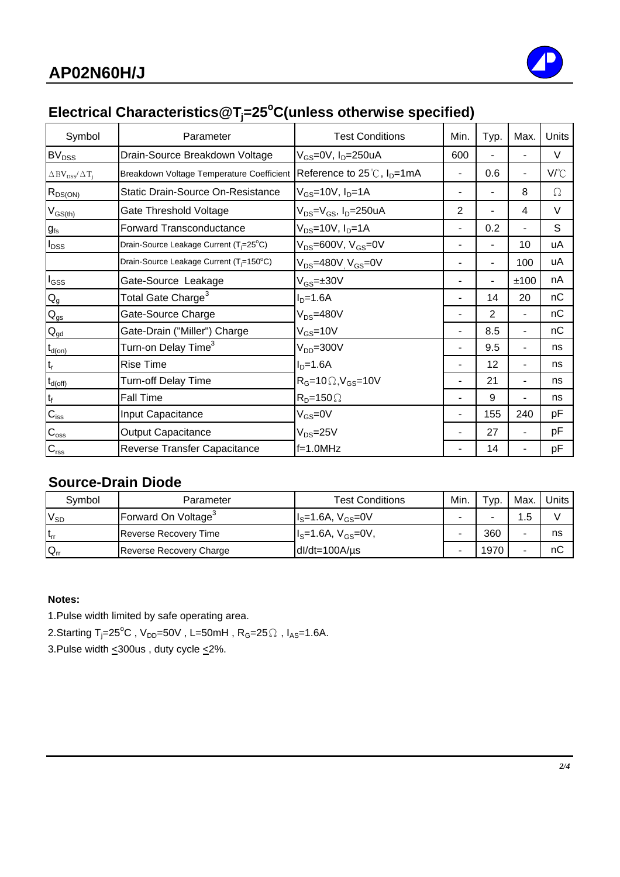

# Electrical Characteristics@T<sub>j</sub>=25<sup>°</sup>C(unless otherwise specified)

| Symbol                                                      | Parameter                                            | <b>Test Conditions</b>                                   | Min. | Typ.            | Max.                     | Units  |
|-------------------------------------------------------------|------------------------------------------------------|----------------------------------------------------------|------|-----------------|--------------------------|--------|
| <b>BV<sub>DSS</sub></b>                                     | Drain-Source Breakdown Voltage                       | V <sub>GS</sub> =0V, I <sub>D</sub> =250uA               | 600  |                 |                          | $\vee$ |
| $\Delta\,\mathrm{BV}_{\mathrm{DSS}}/\,\Delta\,\mathrm{T_j}$ | Breakdown Voltage Temperature Coefficient            | Reference to $25^{\circ}$ C, $I_{D} = 1 \text{mA}$       | -    | 0.6             | $\overline{\phantom{a}}$ | V/°C   |
| $R_{DS(ON)}$                                                | Static Drain-Source On-Resistance                    | $V_{GS}$ =10V, I <sub>D</sub> =1A                        |      |                 | 8                        | Ω      |
| $V_{GS(th)}$                                                | Gate Threshold Voltage                               | V <sub>DS</sub> =V <sub>GS</sub> , I <sub>D</sub> =250uA | 2    |                 | 4                        | $\vee$ |
| $g_{fs}$                                                    | Forward Transconductance                             | $V_{DS}$ =10V, $I_{D}$ =1A                               |      | 0.2             | -                        | S      |
| $I_{DSS}$                                                   | Drain-Source Leakage Current (T <sub>i</sub> =25°C)  | $V_{DS}$ =600V, $V_{GS}$ =0V                             |      |                 | 10                       | uA     |
|                                                             | Drain-Source Leakage Current (T <sub>i</sub> =150°C) | V <sub>DS</sub> =480V <sub>.</sub> V <sub>GS</sub> =0V   |      |                 | 100                      | uA     |
| $I_{GSS}$                                                   | Gate-Source Leakage                                  | $V_{GS} = \pm 30V$                                       |      |                 | ±100                     | nA     |
| $\mathsf{Q}_{\mathsf{g}}$                                   | Total Gate Charge <sup>3</sup>                       | $ID=1.6A$                                                |      | 14              | 20                       | nC     |
| $\mathsf{Q}_{\mathsf{gs}}$                                  | Gate-Source Charge                                   | $V_{DS} = 480V$                                          |      | $\mathbf{2}$    | $\blacksquare$           | nC     |
| $\mathbf{Q}_{\text{gd}}$                                    | Gate-Drain ("Miller") Charge                         | $V_{GS}$ =10V                                            | -    | 8.5             | $\blacksquare$           | nC     |
| $t_{d(on)}$                                                 | Turn-on Delay Time <sup>3</sup>                      | $VDD=300V$                                               |      | 9.5             |                          | ns     |
| $t_r$                                                       | <b>Rise Time</b>                                     | $ID=1.6A$                                                |      | 12 <sub>2</sub> |                          | ns     |
| $t_{d(\text{off})}$                                         | Turn-off Delay Time                                  | $R_G$ =10 $\Omega$ , $V_{GS}$ =10V                       |      | 21              |                          | ns     |
| $t_f$                                                       | Fall Time                                            | $R_D = 150 \Omega$                                       |      | 9               |                          | ns     |
| $C_{\text{iss}}$                                            | Input Capacitance                                    | $V_{GS} = 0V$                                            |      | 155             | 240                      | pF     |
| $C_{\rm oss}$                                               | <b>Output Capacitance</b>                            | $V_{DS} = 25V$                                           |      | 27              |                          | pF     |
| $C_{\text{rss}}$                                            | Reverse Transfer Capacitance                         | $f=1.0$ MHz                                              |      | 14              |                          | pF     |

## **Source-Drain Diode**

| Svmbol   | Parameter                       | Test Conditions            | Min. | Typ. | Max. | Units |
|----------|---------------------------------|----------------------------|------|------|------|-------|
| $V_{SD}$ | Forward On Voltage <sup>3</sup> | $I_S = 1.6A, V_{GS} = 0V$  |      |      | 1.5  |       |
| $t_{rr}$ | <b>Reverse Recovery Time</b>    | $I_s = 1.6A, V_{GS} = 0V,$ |      | 360  |      | ns    |
| $Q_{rr}$ | Reverse Recovery Charge         | $dl/dt = 100A/\mu s$       |      | 1970 |      | nС    |

### **Notes:**

1.Pulse width limited by safe operating area.

2.Starting T<sub>j</sub>=25<sup>°</sup>C , V<sub>DD</sub>=50V , L=50mH , R<sub>G</sub>=25 $\Omega$  , I<sub>AS</sub>=1.6A.

3.Pulse width  $\leq$ 300us, duty cycle  $\leq$ 2%.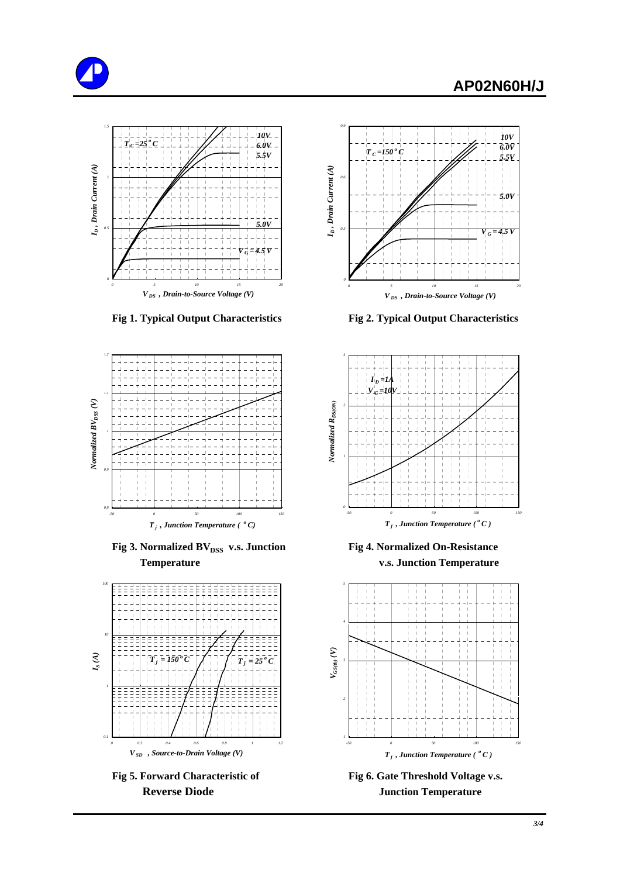





**Fig 3. Normalized BV**<sub>DSS</sub> v.s. Junction Fig 4. Normalized On-Resistance  **Temperature v.s. Junction Temperature**





 **Fig 1. Typical Output Characteristics Fig 2. Typical Output Characteristics**





Fig 5. Forward Characteristic of Fig 6. Gate Threshold Voltage v.s. **Reverse Diode Junction Temperature**